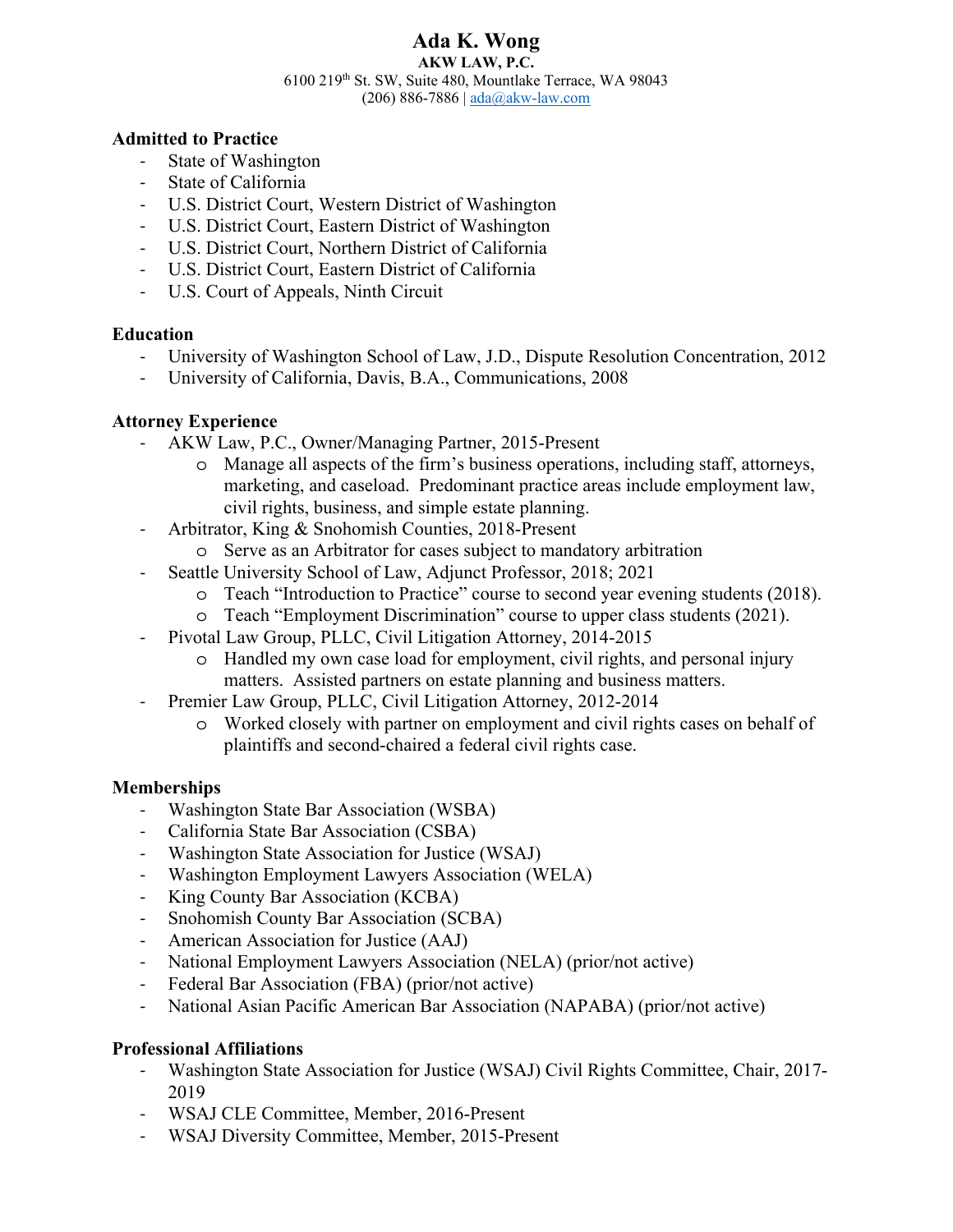#### **Ada K. Wong AKW LAW, P.C.**  6100 219th St. SW, Suite 480, Mountlake Terrace, WA 98043 (206) 886-7886 |  $ada@akw$ -law.com

#### **Admitted to Practice**

- State of Washington
- State of California
- U.S. District Court, Western District of Washington
- U.S. District Court, Eastern District of Washington
- U.S. District Court, Northern District of California
- U.S. District Court, Eastern District of California
- U.S. Court of Appeals, Ninth Circuit

#### **Education**

- University of Washington School of Law, J.D., Dispute Resolution Concentration, 2012
- University of California, Davis, B.A., Communications, 2008

## **Attorney Experience**

- AKW Law, P.C., Owner/Managing Partner, 2015-Present
	- o Manage all aspects of the firm's business operations, including staff, attorneys, marketing, and caseload. Predominant practice areas include employment law, civil rights, business, and simple estate planning.
- Arbitrator, King & Snohomish Counties, 2018-Present
	- o Serve as an Arbitrator for cases subject to mandatory arbitration
- Seattle University School of Law, Adjunct Professor, 2018; 2021
	- o Teach "Introduction to Practice" course to second year evening students (2018).
	- o Teach "Employment Discrimination" course to upper class students (2021).
- Pivotal Law Group, PLLC, Civil Litigation Attorney, 2014-2015
	- o Handled my own case load for employment, civil rights, and personal injury matters. Assisted partners on estate planning and business matters.
- Premier Law Group, PLLC, Civil Litigation Attorney, 2012-2014
	- o Worked closely with partner on employment and civil rights cases on behalf of plaintiffs and second-chaired a federal civil rights case.

#### **Memberships**

- Washington State Bar Association (WSBA)
- California State Bar Association (CSBA)
- Washington State Association for Justice (WSAJ)
- Washington Employment Lawyers Association (WELA)
- King County Bar Association (KCBA)
- Snohomish County Bar Association (SCBA)
- American Association for Justice (AAJ)
- National Employment Lawyers Association (NELA) (prior/not active)
- Federal Bar Association (FBA) (prior/not active)
- National Asian Pacific American Bar Association (NAPABA) (prior/not active)

#### **Professional Affiliations**

- Washington State Association for Justice (WSAJ) Civil Rights Committee, Chair, 2017- 2019
- WSAJ CLE Committee, Member, 2016-Present
- WSAJ Diversity Committee, Member, 2015-Present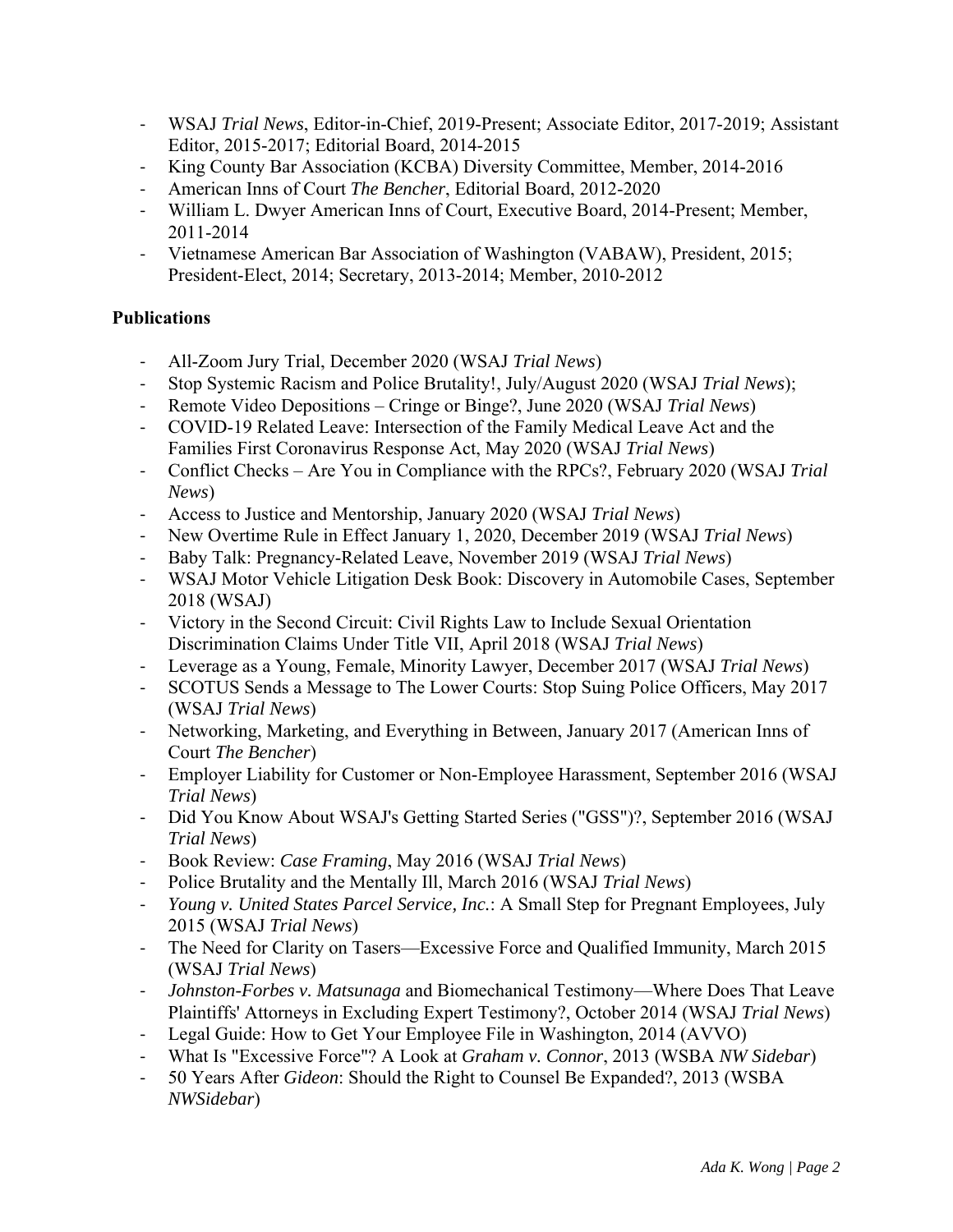- WSAJ *Trial News*, Editor-in-Chief, 2019-Present; Associate Editor, 2017-2019; Assistant Editor, 2015-2017; Editorial Board, 2014-2015
- King County Bar Association (KCBA) Diversity Committee, Member, 2014-2016
- American Inns of Court *The Bencher*, Editorial Board, 2012-2020
- William L. Dwyer American Inns of Court, Executive Board, 2014-Present; Member, 2011-2014
- Vietnamese American Bar Association of Washington (VABAW), President, 2015; President-Elect, 2014; Secretary, 2013-2014; Member, 2010-2012

## **Publications**

- All-Zoom Jury Trial, December 2020 (WSAJ *Trial News*)
- Stop Systemic Racism and Police Brutality!, July/August 2020 (WSAJ *Trial News*);
- Remote Video Depositions Cringe or Binge?, June 2020 (WSAJ *Trial News*)
- COVID-19 Related Leave: Intersection of the Family Medical Leave Act and the Families First Coronavirus Response Act, May 2020 (WSAJ *Trial News*)
- Conflict Checks Are You in Compliance with the RPCs?, February 2020 (WSAJ *Trial News*)
- Access to Justice and Mentorship, January 2020 (WSAJ *Trial News*)
- New Overtime Rule in Effect January 1, 2020, December 2019 (WSAJ *Trial News*)
- Baby Talk: Pregnancy-Related Leave, November 2019 (WSAJ *Trial News*)
- WSAJ Motor Vehicle Litigation Desk Book: Discovery in Automobile Cases, September 2018 (WSAJ)
- Victory in the Second Circuit: Civil Rights Law to Include Sexual Orientation Discrimination Claims Under Title VII, April 2018 (WSAJ *Trial News*)
- Leverage as a Young, Female, Minority Lawyer, December 2017 (WSAJ *Trial News*)
- SCOTUS Sends a Message to The Lower Courts: Stop Suing Police Officers, May 2017 (WSAJ *Trial News*)
- Networking, Marketing, and Everything in Between, January 2017 (American Inns of Court *The Bencher*)
- Employer Liability for Customer or Non-Employee Harassment, September 2016 (WSAJ *Trial News*)
- Did You Know About WSAJ's Getting Started Series ("GSS")?, September 2016 (WSAJ *Trial News*)
- Book Review: *Case Framing*, May 2016 (WSAJ *Trial News*)
- Police Brutality and the Mentally Ill, March 2016 (WSAJ *Trial News*)
- *Young v. United States Parcel Service, Inc.*: A Small Step for Pregnant Employees, July 2015 (WSAJ *Trial News*)
- The Need for Clarity on Tasers—Excessive Force and Qualified Immunity, March 2015 (WSAJ *Trial News*)
- *Johnston-Forbes v. Matsunaga* and Biomechanical Testimony—Where Does That Leave Plaintiffs' Attorneys in Excluding Expert Testimony?, October 2014 (WSAJ *Trial News*)
- Legal Guide: How to Get Your Employee File in Washington, 2014 (AVVO)
- What Is "Excessive Force"? A Look at *Graham v. Connor*, 2013 (WSBA *NW Sidebar*)
- 50 Years After *Gideon*: Should the Right to Counsel Be Expanded?, 2013 (WSBA *NWSidebar*)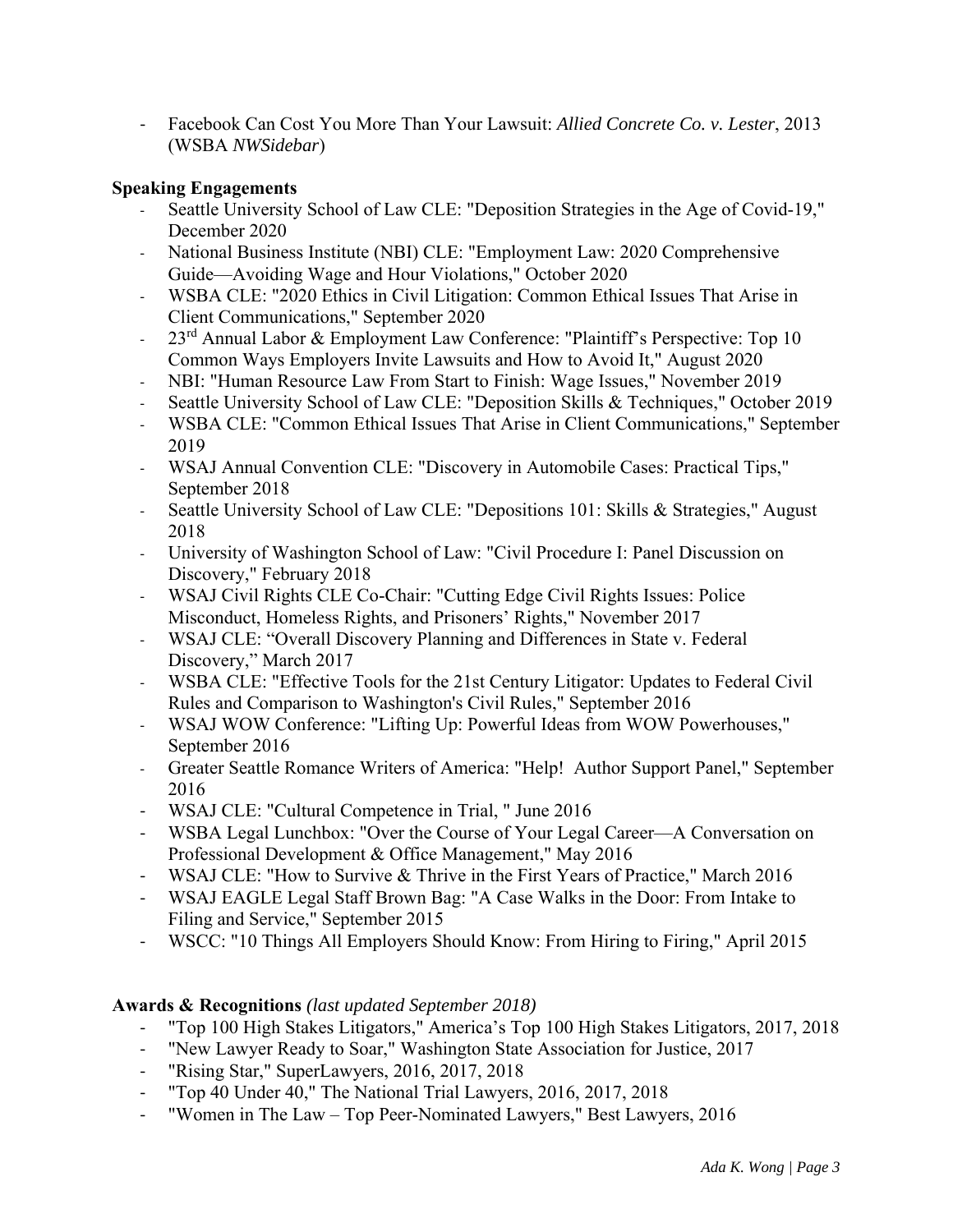- Facebook Can Cost You More Than Your Lawsuit: *Allied Concrete Co. v. Lester*, 2013 (WSBA *NWSidebar*)

## **Speaking Engagements**

- Seattle University School of Law CLE: "Deposition Strategies in the Age of Covid-19," December 2020
- National Business Institute (NBI) CLE: "Employment Law: 2020 Comprehensive Guide—Avoiding Wage and Hour Violations," October 2020
- WSBA CLE: "2020 Ethics in Civil Litigation: Common Ethical Issues That Arise in Client Communications," September 2020
- 23<sup>rd</sup> Annual Labor & Employment Law Conference: "Plaintiff's Perspective: Top 10 Common Ways Employers Invite Lawsuits and How to Avoid It," August 2020
- NBI: "Human Resource Law From Start to Finish: Wage Issues," November 2019
- Seattle University School of Law CLE: "Deposition Skills & Techniques," October 2019
- WSBA CLE: "Common Ethical Issues That Arise in Client Communications," September 2019
- WSAJ Annual Convention CLE: "Discovery in Automobile Cases: Practical Tips," September 2018
- Seattle University School of Law CLE: "Depositions 101: Skills & Strategies," August 2018
- University of Washington School of Law: "Civil Procedure I: Panel Discussion on Discovery," February 2018
- WSAJ Civil Rights CLE Co-Chair: "Cutting Edge Civil Rights Issues: Police Misconduct, Homeless Rights, and Prisoners' Rights," November 2017
- WSAJ CLE: "Overall Discovery Planning and Differences in State v. Federal Discovery," March 2017
- WSBA CLE: "Effective Tools for the 21st Century Litigator: Updates to Federal Civil Rules and Comparison to Washington's Civil Rules," September 2016
- WSAJ WOW Conference: "Lifting Up: Powerful Ideas from WOW Powerhouses," September 2016
- Greater Seattle Romance Writers of America: "Help! Author Support Panel," September 2016
- WSAJ CLE: "Cultural Competence in Trial, " June 2016
- WSBA Legal Lunchbox: "Over the Course of Your Legal Career—A Conversation on Professional Development & Office Management," May 2016
- WSAJ CLE: "How to Survive & Thrive in the First Years of Practice," March 2016
- WSAJ EAGLE Legal Staff Brown Bag: "A Case Walks in the Door: From Intake to Filing and Service," September 2015
- WSCC: "10 Things All Employers Should Know: From Hiring to Firing," April 2015

# **Awards & Recognitions** *(last updated September 2018)*

- "Top 100 High Stakes Litigators," America's Top 100 High Stakes Litigators, 2017, 2018
- "New Lawyer Ready to Soar," Washington State Association for Justice, 2017
- "Rising Star," SuperLawyers, 2016, 2017, 2018
- "Top 40 Under 40," The National Trial Lawyers, 2016, 2017, 2018
- "Women in The Law Top Peer-Nominated Lawyers," Best Lawyers, 2016